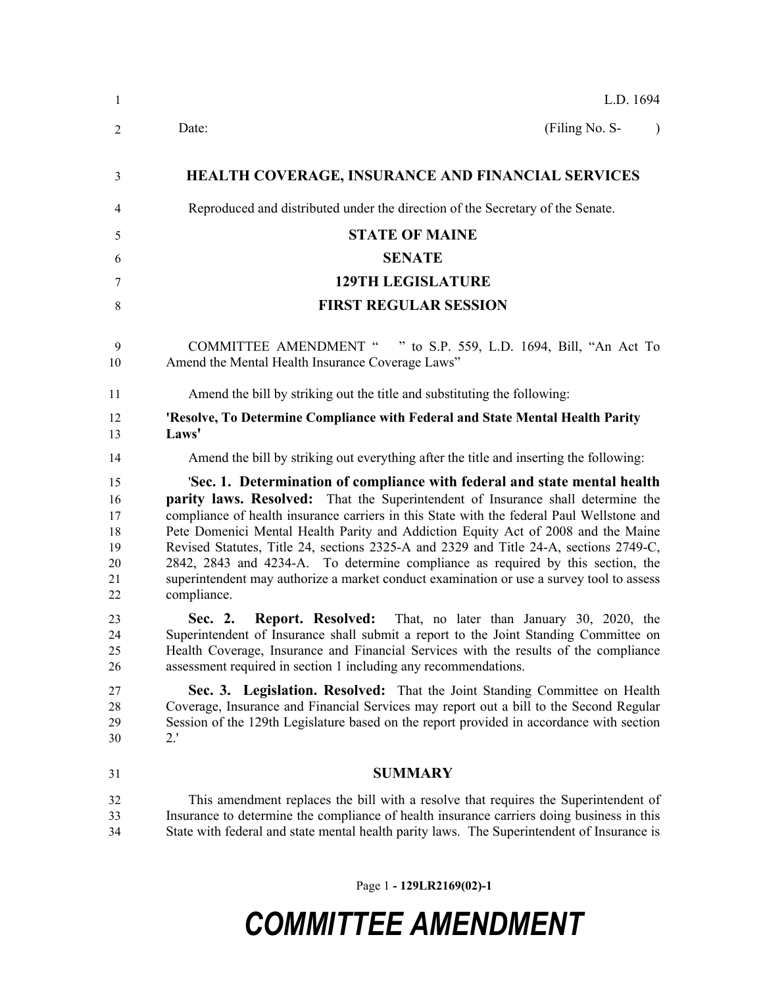| $\mathbf{1}$                                 | L.D. 1694                                                                                                                                                                                                                                                                                                                                                                                                                                                                                                                                                                                                                                    |
|----------------------------------------------|----------------------------------------------------------------------------------------------------------------------------------------------------------------------------------------------------------------------------------------------------------------------------------------------------------------------------------------------------------------------------------------------------------------------------------------------------------------------------------------------------------------------------------------------------------------------------------------------------------------------------------------------|
| 2                                            | (Filing No. S-<br>Date:                                                                                                                                                                                                                                                                                                                                                                                                                                                                                                                                                                                                                      |
| 3                                            | <b>HEALTH COVERAGE, INSURANCE AND FINANCIAL SERVICES</b>                                                                                                                                                                                                                                                                                                                                                                                                                                                                                                                                                                                     |
| 4                                            | Reproduced and distributed under the direction of the Secretary of the Senate.                                                                                                                                                                                                                                                                                                                                                                                                                                                                                                                                                               |
| 5                                            | <b>STATE OF MAINE</b>                                                                                                                                                                                                                                                                                                                                                                                                                                                                                                                                                                                                                        |
| 6                                            | <b>SENATE</b>                                                                                                                                                                                                                                                                                                                                                                                                                                                                                                                                                                                                                                |
| 7                                            | <b>129TH LEGISLATURE</b>                                                                                                                                                                                                                                                                                                                                                                                                                                                                                                                                                                                                                     |
| 8                                            | <b>FIRST REGULAR SESSION</b>                                                                                                                                                                                                                                                                                                                                                                                                                                                                                                                                                                                                                 |
| 9<br>10                                      | <b>COMMITTEE AMENDMENT "</b><br>" to S.P. 559, L.D. 1694, Bill, "An Act To<br>Amend the Mental Health Insurance Coverage Laws"                                                                                                                                                                                                                                                                                                                                                                                                                                                                                                               |
| 11                                           | Amend the bill by striking out the title and substituting the following:                                                                                                                                                                                                                                                                                                                                                                                                                                                                                                                                                                     |
| 12<br>13                                     | 'Resolve, To Determine Compliance with Federal and State Mental Health Parity<br>Laws'                                                                                                                                                                                                                                                                                                                                                                                                                                                                                                                                                       |
| 14                                           | Amend the bill by striking out everything after the title and inserting the following:                                                                                                                                                                                                                                                                                                                                                                                                                                                                                                                                                       |
| 15<br>16<br>17<br>18<br>19<br>20<br>21<br>22 | 'Sec. 1. Determination of compliance with federal and state mental health<br><b>parity laws. Resolved:</b> That the Superintendent of Insurance shall determine the<br>compliance of health insurance carriers in this State with the federal Paul Wellstone and<br>Pete Domenici Mental Health Parity and Addiction Equity Act of 2008 and the Maine<br>Revised Statutes, Title 24, sections 2325-A and 2329 and Title 24-A, sections 2749-C,<br>2842, 2843 and 4234-A. To determine compliance as required by this section, the<br>superintendent may authorize a market conduct examination or use a survey tool to assess<br>compliance. |
| 23<br>24<br>25<br>26                         | <b>Report. Resolved:</b> That, no later than January 30, 2020, the<br>Sec. 2.<br>Superintendent of Insurance shall submit a report to the Joint Standing Committee on<br>Health Coverage, Insurance and Financial Services with the results of the compliance<br>assessment required in section 1 including any recommendations.                                                                                                                                                                                                                                                                                                             |
| 27<br>28<br>29<br>30                         | Sec. 3. Legislation. Resolved: That the Joint Standing Committee on Health<br>Coverage, Insurance and Financial Services may report out a bill to the Second Regular<br>Session of the 129th Legislature based on the report provided in accordance with section<br>2.'                                                                                                                                                                                                                                                                                                                                                                      |
| 31                                           | <b>SUMMARY</b>                                                                                                                                                                                                                                                                                                                                                                                                                                                                                                                                                                                                                               |
| 32<br>33<br>34                               | This amendment replaces the bill with a resolve that requires the Superintendent of<br>Insurance to determine the compliance of health insurance carriers doing business in this<br>State with federal and state mental health parity laws. The Superintendent of Insurance is                                                                                                                                                                                                                                                                                                                                                               |

Page 1 **- 129LR2169(02)-1**

## *COMMITTEE AMENDMENT*